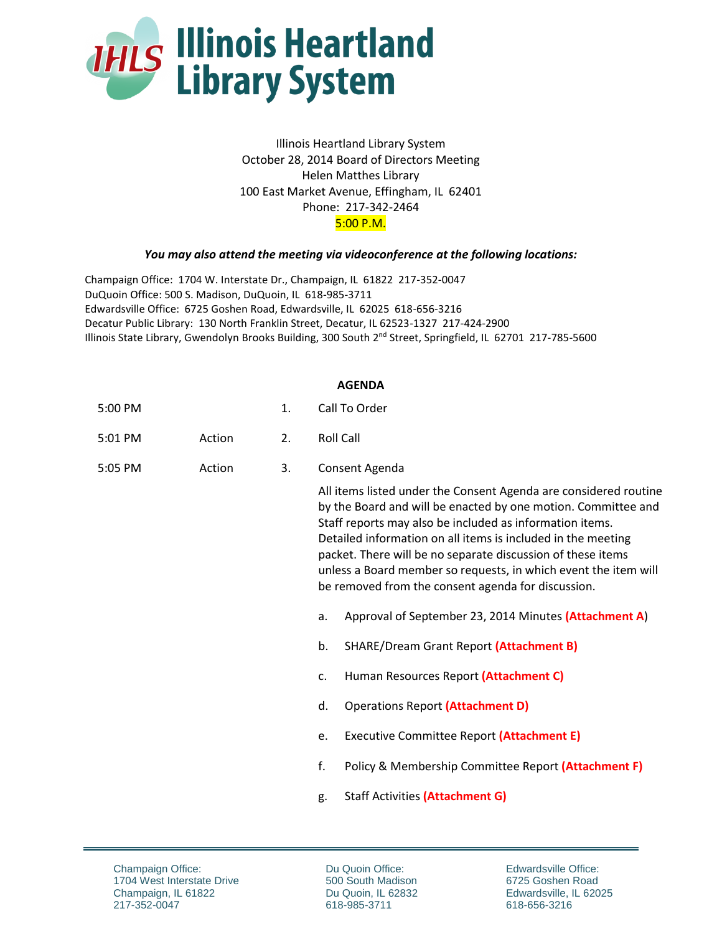

Illinois Heartland Library System October 28, 2014 Board of Directors Meeting Helen Matthes Library 100 East Market Avenue, Effingham, IL 62401 Phone: 217-342-2464 5:00 P.M.

## *You may also attend the meeting via videoconference at the following locations:*

Champaign Office: 1704 W. Interstate Dr., Champaign, IL 61822 217-352-0047 DuQuoin Office: 500 S. Madison, DuQuoin, IL 618-985-3711 Edwardsville Office: 6725 Goshen Road, Edwardsville, IL 62025 618-656-3216 Decatur Public Library: 130 North Franklin Street, Decatur, IL 62523-1327 217-424-2900 Illinois State Library, Gwendolyn Brooks Building, 300 South 2<sup>nd</sup> Street, Springfield, IL 62701 217-785-5600

## **AGENDA**

| 5:00 PM |        | 1. | Call To Order                                                                                                                                                                                                                                                                                                                                                                                                                                         |  |  |
|---------|--------|----|-------------------------------------------------------------------------------------------------------------------------------------------------------------------------------------------------------------------------------------------------------------------------------------------------------------------------------------------------------------------------------------------------------------------------------------------------------|--|--|
| 5:01 PM | Action | 2. | <b>Roll Call</b>                                                                                                                                                                                                                                                                                                                                                                                                                                      |  |  |
| 5:05 PM | Action | 3. | Consent Agenda                                                                                                                                                                                                                                                                                                                                                                                                                                        |  |  |
|         |        |    | All items listed under the Consent Agenda are considered routine<br>by the Board and will be enacted by one motion. Committee and<br>Staff reports may also be included as information items.<br>Detailed information on all items is included in the meeting<br>packet. There will be no separate discussion of these items<br>unless a Board member so requests, in which event the item will<br>be removed from the consent agenda for discussion. |  |  |
|         |        |    | Approval of September 23, 2014 Minutes (Attachment A)<br>a.                                                                                                                                                                                                                                                                                                                                                                                           |  |  |
|         |        |    | <b>SHARE/Dream Grant Report (Attachment B)</b><br>b.                                                                                                                                                                                                                                                                                                                                                                                                  |  |  |
|         |        |    | Human Resources Report (Attachment C)<br>C.                                                                                                                                                                                                                                                                                                                                                                                                           |  |  |
|         |        |    | <b>Operations Report (Attachment D)</b><br>d.                                                                                                                                                                                                                                                                                                                                                                                                         |  |  |
|         |        |    | Executive Committee Report (Attachment E)<br>e.                                                                                                                                                                                                                                                                                                                                                                                                       |  |  |
|         |        |    | f.<br>Policy & Membership Committee Report (Attachment F)                                                                                                                                                                                                                                                                                                                                                                                             |  |  |
|         |        |    | Staff Activities (Attachment G)<br>g.                                                                                                                                                                                                                                                                                                                                                                                                                 |  |  |

Du Quoin Office: 500 South Madison Du Quoin, IL 62832 618-985-3711

Edwardsville Office: 6725 Goshen Road Edwardsville, IL 62025 618-656-3216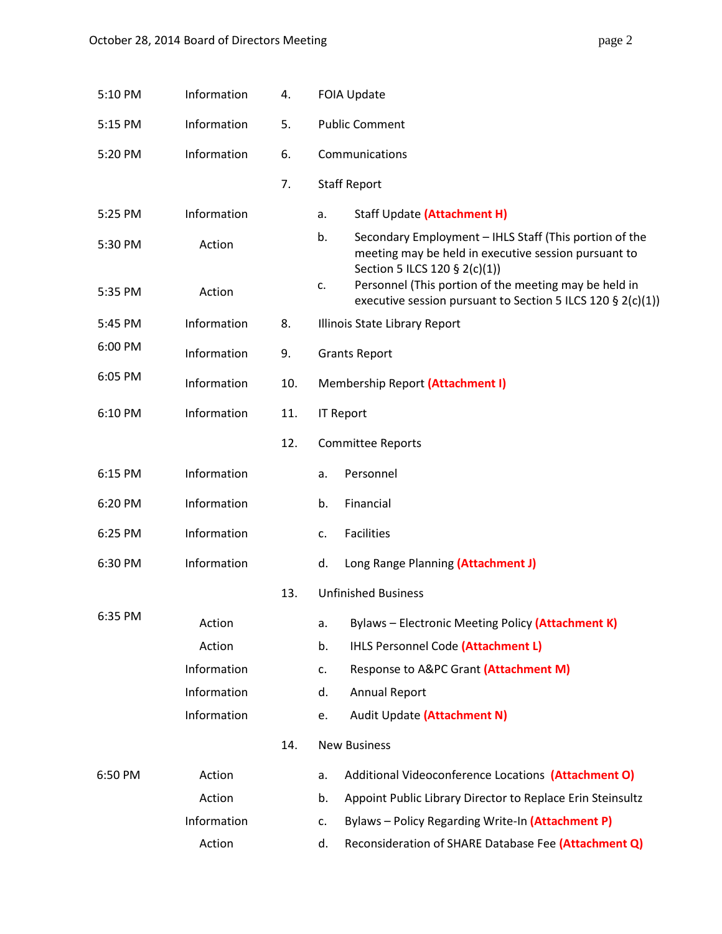| 5:10 PM | Information | 4.  | <b>FOIA Update</b>                                                                                                                                                                                                                                                                  |  |  |
|---------|-------------|-----|-------------------------------------------------------------------------------------------------------------------------------------------------------------------------------------------------------------------------------------------------------------------------------------|--|--|
| 5:15 PM | Information | 5.  | <b>Public Comment</b>                                                                                                                                                                                                                                                               |  |  |
| 5:20 PM | Information | 6.  | Communications                                                                                                                                                                                                                                                                      |  |  |
|         |             | 7.  | <b>Staff Report</b>                                                                                                                                                                                                                                                                 |  |  |
| 5:25 PM | Information |     | Staff Update (Attachment H)<br>a.                                                                                                                                                                                                                                                   |  |  |
| 5:30 PM | Action      |     | b.<br>Secondary Employment - IHLS Staff (This portion of the<br>meeting may be held in executive session pursuant to<br>Section 5 ILCS 120 § 2(c)(1))<br>Personnel (This portion of the meeting may be held in<br>c.<br>executive session pursuant to Section 5 ILCS 120 § 2(c)(1)) |  |  |
| 5:35 PM | Action      |     |                                                                                                                                                                                                                                                                                     |  |  |
| 5:45 PM | Information | 8.  | Illinois State Library Report                                                                                                                                                                                                                                                       |  |  |
| 6:00 PM | Information | 9.  | <b>Grants Report</b>                                                                                                                                                                                                                                                                |  |  |
| 6:05 PM | Information | 10. | Membership Report (Attachment I)                                                                                                                                                                                                                                                    |  |  |
| 6:10 PM | Information | 11. | <b>IT Report</b>                                                                                                                                                                                                                                                                    |  |  |
|         |             | 12. | <b>Committee Reports</b>                                                                                                                                                                                                                                                            |  |  |
| 6:15 PM | Information |     | Personnel<br>a.                                                                                                                                                                                                                                                                     |  |  |
| 6:20 PM | Information |     | Financial<br>b.                                                                                                                                                                                                                                                                     |  |  |
| 6:25 PM | Information |     | Facilities<br>c.                                                                                                                                                                                                                                                                    |  |  |
| 6:30 PM | Information |     | Long Range Planning (Attachment J)<br>d.                                                                                                                                                                                                                                            |  |  |
|         |             | 13. | <b>Unfinished Business</b>                                                                                                                                                                                                                                                          |  |  |
| 6:35 PM | Action      |     | Bylaws - Electronic Meeting Policy (Attachment K)<br>a.                                                                                                                                                                                                                             |  |  |
|         | Action      |     | b.<br>IHLS Personnel Code (Attachment L)                                                                                                                                                                                                                                            |  |  |
|         | Information |     | Response to A&PC Grant (Attachment M)<br>c.                                                                                                                                                                                                                                         |  |  |
|         | Information |     | d.<br><b>Annual Report</b>                                                                                                                                                                                                                                                          |  |  |
|         | Information |     | Audit Update (Attachment N)<br>e.                                                                                                                                                                                                                                                   |  |  |
|         |             | 14. | <b>New Business</b>                                                                                                                                                                                                                                                                 |  |  |
| 6:50 PM | Action      |     | Additional Videoconference Locations (Attachment O)<br>a.                                                                                                                                                                                                                           |  |  |
|         | Action      |     | Appoint Public Library Director to Replace Erin Steinsultz<br>b.                                                                                                                                                                                                                    |  |  |
|         | Information |     | Bylaws - Policy Regarding Write-In (Attachment P)<br>c.                                                                                                                                                                                                                             |  |  |
|         | Action      |     | Reconsideration of SHARE Database Fee (Attachment Q)<br>d.                                                                                                                                                                                                                          |  |  |